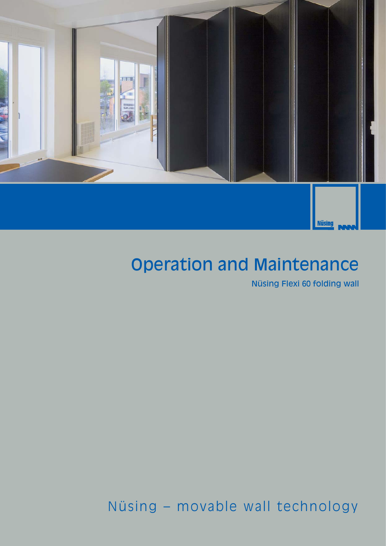

## Operation and Maintenance

Nüsing Flexi 60 folding wall

Nüsing – movable wall technology